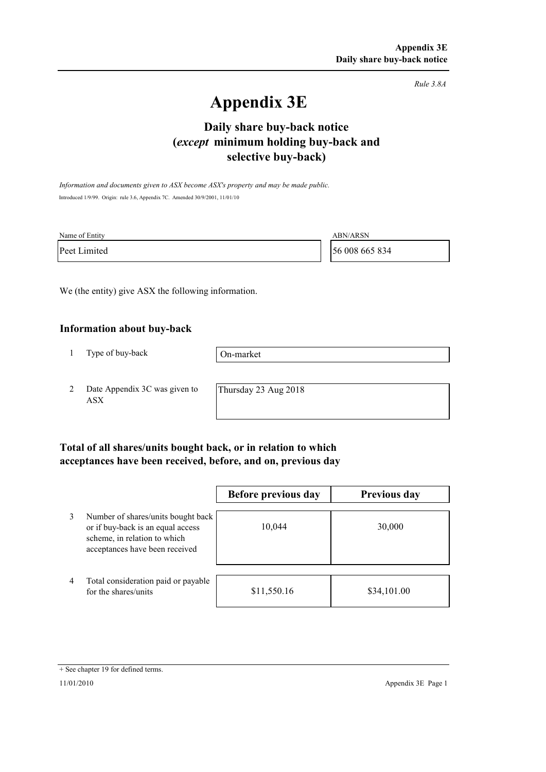*Rule 3.8A*

# **Appendix 3E**

# **selective buy-back) Daily share buy-back notice (***except* **minimum holding buy-back and**

*Information and documents given to ASX become ASX's property and may be made public.* Introduced 1/9/99. Origin: rule 3.6, Appendix 7C. Amended 30/9/2001, 11/01/10

| Name of Entity | <b>ABN/ARSN</b> |
|----------------|-----------------|
| Peet Limited   | 56 008 665 834  |

We (the entity) give ASX the following information.

#### **Information about buy-back**

1 Type of buy-back

On-market

2 Date Appendix 3C was given to ASX

Thursday 23 Aug 2018

### **Total of all shares/units bought back, or in relation to which acceptances have been received, before, and on, previous day**

|                |                                                                                                                                           | Before previous day | <b>Previous day</b> |
|----------------|-------------------------------------------------------------------------------------------------------------------------------------------|---------------------|---------------------|
| 3              | Number of shares/units bought back<br>or if buy-back is an equal access<br>scheme, in relation to which<br>acceptances have been received | 10,044              | 30,000              |
| $\overline{4}$ | Total consideration paid or payable<br>for the shares/units                                                                               | \$11,550.16         | \$34,101.00         |

<sup>+</sup> See chapter 19 for defined terms.